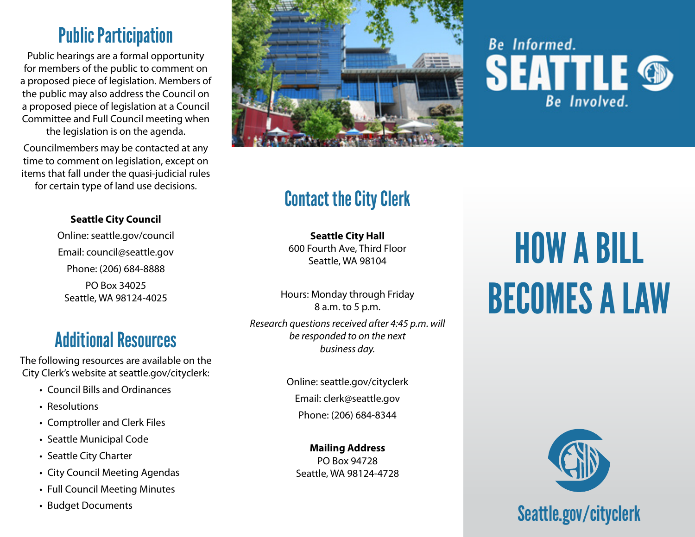### Public Participation

Public hearings are a formal opportunity for members of the public to comment on a proposed piece of legislation. Members of the public may also address the Council on a proposed piece of legislation at a Council Committee and Full Council meeting when the legislation is on the agenda.

Councilmembers may be contacted at any time to comment on legislation, except on items that fall under the quasi-judicial rules for certain type of land use decisions.

#### **Seattle City Council**

Online: [seattle.gov/council](http://www.seattle.gov/council) Email: [council@seattle.gov](mailto:council@seattle.gov) Phone: (206) 684-8888 PO Box 34025

Seattle, WA 98124-4025

#### Additional Resources

The following resources are available on the City Clerk's website at [seattle.gov/cityclerk](http://www.seattle.gov/cityclerk):

- Council Bills and Ordinances
- Resolutions
- Comptroller and Clerk Files
- Seattle Municipal Code
- Seattle City Charter
- City Council Meeting Agendas
- Full Council Meeting Minutes
- Budget Documents



## **Be** Informed.  $\text{EATTLE}_{\tiny{\text{Be Involved.}}}$

#### Contact the City Clerk

**Seattle City Hall**  600 Fourth Ave, Third Floor Seattle, WA 98104

Hours: Monday through Friday 8 a.m. to 5 p.m. *Research questions received after 4:45 p.m. will be responded to on the next* 

*business day.*

Online: [seattle.gov/cityclerk](http://www.seattle.gov/cityclerk) Email: [clerk@seattle.gov](mailto:mailto:clerk%40seattle.gov?subject=) Phone: (206) 684-8344

**Mailing Address** PO Box 94728 Seattle, WA 98124-4728

# HOW A BILL BECOMES A LAW



### [Seattle.gov/cityclerk](http://Seattle.gov/cityclerk)